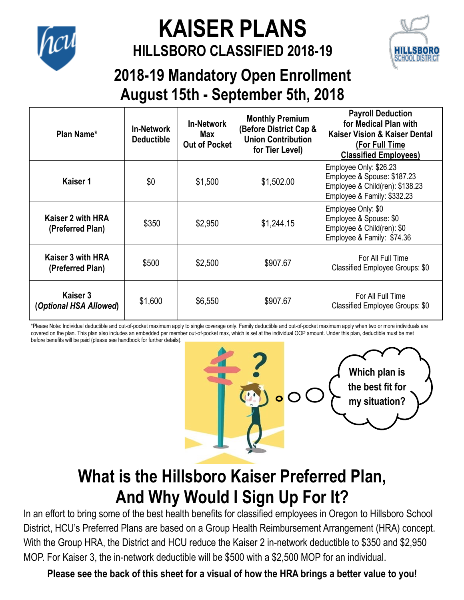

# **KAISER PLANS**

#### **HILLSBORO CLASSIFIED 2018-19**



#### **2018-19 Mandatory Open Enrollment August 15th - September 5th, 2018**

| Plan Name*                            | <b>In-Network</b><br><b>Deductible</b> | <b>In-Network</b><br>Max<br><b>Out of Pocket</b> | <b>Monthly Premium</b><br>(Before District Cap &<br><b>Union Contribution</b><br>for Tier Level) | <b>Payroll Deduction</b><br>for Medical Plan with<br>Kaiser Vision & Kaiser Dental<br>(For Full Time<br><b>Classified Employees)</b> |
|---------------------------------------|----------------------------------------|--------------------------------------------------|--------------------------------------------------------------------------------------------------|--------------------------------------------------------------------------------------------------------------------------------------|
| Kaiser 1                              | \$0                                    | \$1,500                                          | \$1,502.00                                                                                       | Employee Only: \$26.23<br>Employee & Spouse: \$187.23<br>Employee & Child(ren): \$138.23<br>Employee & Family: \$332.23              |
| Kaiser 2 with HRA<br>(Preferred Plan) | \$350                                  | \$2,950                                          | \$1,244.15                                                                                       | Employee Only: \$0<br>Employee & Spouse: \$0<br>Employee & Child(ren): \$0<br>Employee & Family: \$74.36                             |
| Kaiser 3 with HRA<br>(Preferred Plan) | \$500                                  | \$2,500                                          | \$907.67                                                                                         | For All Full Time<br>Classified Employee Groups: \$0                                                                                 |
| Kaiser 3<br>(Optional HSA Allowed)    | \$1,600                                | \$6,550                                          | \$907.67                                                                                         | For All Full Time<br>Classified Employee Groups: \$0                                                                                 |

\*Please Note: Individual deductible and out-of-pocket maximum apply to single coverage only. Family deductible and out-of-pocket maximum apply when two or more individuals are covered on the plan. This plan also includes an embedded per member out-of-pocket max, which is set at the individual OOP amount. Under this plan, deductible must be met before benefits will be paid (please see handbook for further details).



### **What is the Hillsboro Kaiser Preferred Plan, And Why Would I Sign Up For It?**

In an effort to bring some of the best health benefits for classified employees in Oregon to Hillsboro School District, HCU's Preferred Plans are based on a Group Health Reimbursement Arrangement (HRA) concept. With the Group HRA, the District and HCU reduce the Kaiser 2 in-network deductible to \$350 and \$2,950 MOP. For Kaiser 3, the in-network deductible will be \$500 with a \$2,500 MOP for an individual.

**Please see the back of this sheet for a visual of how the HRA brings a better value to you!**